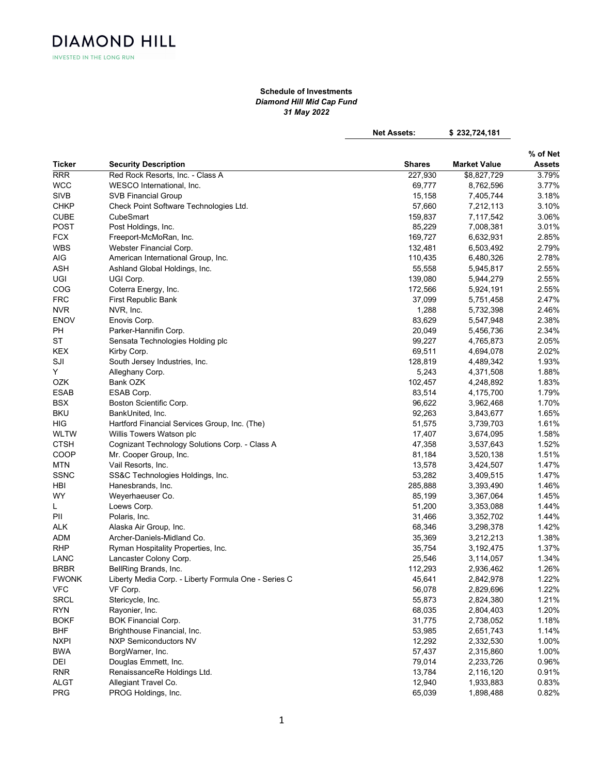INVESTED IN THE LONG RUN

**DIAMOND HILL** 

## Schedule of Investments Diamond Hill Mid Cap Fund 31 May 2022

Net Assets: \$232,724,181

|                     |                                                      |                  |                     | % of Net      |
|---------------------|------------------------------------------------------|------------------|---------------------|---------------|
| Ticker              | <b>Security Description</b>                          | Shares           | <b>Market Value</b> | <b>Assets</b> |
| <b>RRR</b>          | Red Rock Resorts, Inc. - Class A                     | 227,930          | \$8,827,729         | 3.79%         |
| <b>WCC</b>          | WESCO International, Inc.                            | 69,777           | 8,762,596           | 3.77%         |
| <b>SIVB</b>         | <b>SVB Financial Group</b>                           | 15,158           | 7,405,744           | 3.18%         |
| <b>CHKP</b>         | Check Point Software Technologies Ltd.               | 57,660           | 7,212,113           | 3.10%         |
| <b>CUBE</b>         | CubeSmart                                            | 159,837          | 7,117,542           | 3.06%         |
| <b>POST</b>         | Post Holdings, Inc.                                  | 85,229           | 7,008,381           | 3.01%         |
| <b>FCX</b>          | Freeport-McMoRan, Inc.                               | 169,727          | 6,632,931           | 2.85%         |
| <b>WBS</b>          | Webster Financial Corp.                              | 132,481          | 6,503,492           | 2.79%         |
| AIG                 | American International Group, Inc.                   | 110,435          | 6,480,326           | 2.78%         |
| ASH                 | Ashland Global Holdings, Inc.                        | 55,558           | 5,945,817           | 2.55%         |
| UGI                 | UGI Corp.                                            | 139,080          | 5,944,279           | 2.55%         |
| COG                 | Coterra Energy, Inc.                                 | 172,566          | 5,924,191           | 2.55%         |
| <b>FRC</b>          | First Republic Bank                                  | 37,099           | 5,751,458           | 2.47%         |
| <b>NVR</b>          | NVR, Inc.                                            | 1,288            | 5,732,398           | 2.46%         |
| <b>ENOV</b>         | Enovis Corp.                                         | 83,629           | 5,547,948           | 2.38%         |
| PH                  | Parker-Hannifin Corp.                                | 20,049           | 5,456,736           | 2.34%         |
| ST                  | Sensata Technologies Holding plc                     | 99,227           | 4,765,873           | 2.05%         |
| <b>KEX</b>          | Kirby Corp.                                          | 69,511           | 4,694,078           | 2.02%         |
| SJI                 | South Jersey Industries, Inc.                        | 128,819          | 4,489,342           | 1.93%         |
| Y                   | Alleghany Corp.                                      | 5,243            | 4,371,508           | 1.88%         |
| OZK                 | Bank OZK                                             | 102,457          | 4,248,892           | 1.83%         |
| ESAB                | ESAB Corp.                                           | 83,514           | 4,175,700           | 1.79%         |
| <b>BSX</b>          | Boston Scientific Corp.                              | 96,622           | 3,962,468           | 1.70%         |
| <b>BKU</b>          | BankUnited, Inc.                                     | 92,263           | 3,843,677           | 1.65%         |
| HIG                 | Hartford Financial Services Group, Inc. (The)        | 51,575           | 3,739,703           | 1.61%         |
| WLTW                | Willis Towers Watson plc                             | 17,407           | 3,674,095           | 1.58%         |
| <b>CTSH</b>         | Cognizant Technology Solutions Corp. - Class A       | 47,358           | 3,537,643           | 1.52%         |
| COOP                | Mr. Cooper Group, Inc.                               | 81,184           | 3,520,138           | 1.51%         |
| <b>MTN</b>          | Vail Resorts, Inc.                                   | 13,578           | 3,424,507           | 1.47%         |
| <b>SSNC</b>         | SS&C Technologies Holdings, Inc.                     | 53,282           | 3,409,515           | 1.47%         |
| HBI                 | Hanesbrands, Inc.                                    | 285,888          | 3,393,490           | 1.46%         |
| WY                  | Weyerhaeuser Co.                                     | 85,199           | 3,367,064           | 1.45%         |
| L                   | Loews Corp.                                          | 51,200           | 3,353,088           | 1.44%         |
| PII                 | Polaris, Inc.                                        | 31,466           | 3,352,702           | 1.44%         |
| <b>ALK</b>          | Alaska Air Group, Inc.                               | 68,346           | 3,298,378           | 1.42%         |
|                     | Archer-Daniels-Midland Co.                           | 35,369           |                     | 1.38%         |
| ADM<br><b>RHP</b>   |                                                      |                  | 3,212,213           | 1.37%         |
|                     | Ryman Hospitality Properties, Inc.                   | 35,754<br>25,546 | 3,192,475           | 1.34%         |
| LANC<br><b>BRBR</b> | Lancaster Colony Corp.                               |                  | 3,114,057           | 1.26%         |
| <b>FWONK</b>        | BellRing Brands, Inc.                                | 112,293          | 2,936,462           | 1.22%         |
|                     | Liberty Media Corp. - Liberty Formula One - Series C | 45,641           | 2,842,978           |               |
| ${\sf VFC}$         | VF Corp.                                             | 56,078           | 2,829,696           | 1.22%         |
| <b>SRCL</b>         | Stericycle, Inc.                                     | 55,873           | 2,824,380           | 1.21%         |
| <b>RYN</b>          | Rayonier, Inc.                                       | 68,035           | 2,804,403           | 1.20%         |
| <b>BOKF</b>         | <b>BOK Financial Corp.</b>                           | 31,775           | 2,738,052           | 1.18%         |
| <b>BHF</b>          | Brighthouse Financial, Inc.                          | 53,985           | 2,651,743           | 1.14%         |
| <b>NXPI</b>         | <b>NXP Semiconductors NV</b>                         | 12,292           | 2,332,530           | 1.00%         |
| <b>BWA</b>          | BorgWarner, Inc.                                     | 57,437           | 2,315,860           | 1.00%         |
| DEI                 | Douglas Emmett, Inc.                                 | 79,014           | 2,233,726           | 0.96%         |
| <b>RNR</b>          | RenaissanceRe Holdings Ltd.                          | 13,784           | 2,116,120           | 0.91%         |
| <b>ALGT</b>         | Allegiant Travel Co.                                 | 12,940           | 1,933,883           | 0.83%         |
| PRG                 | PROG Holdings, Inc.                                  | 65,039           | 1,898,488           | 0.82%         |